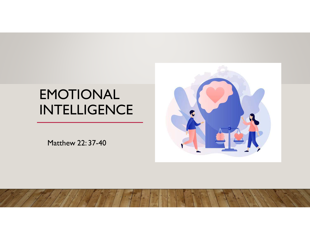# EMOTIONAL INTELLIGENCE

Matthew 22: 37-40

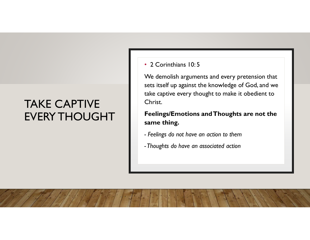## TAKE CAPTIVE EVERY THOUGHT

#### • 2 Corinthians 10: 5

We demolish arguments and every pretension that sets itself up against the knowledge of God, and we take captive every thought to make it obedient to Christ.

**Feelings/Emotions and Thoughts are not the same thing.** 

- *- Feelings do not have an action to them*
- *-Thoughts do have an associated action*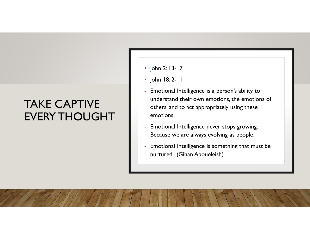## TAKE CAPTIVE EVERY THOUGHT

- John 2: 13-17
- John 18: 2-11
- Emotional Intelligence is a person's ability to understand their own emotions, the emotions of others, and to act appropriately using these
- emotions.<br>- Emotional Intelligence never stops growing. Because we are always evolving as people.
- Emotional Intelligence is something that must be nurtured. (Gihan Aboueleish)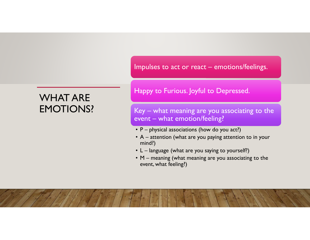WHAT ARE EMOTIONS? Impulses to act or react – emotions/feelings.

#### Happy to Furious. Joyful to Depressed.

Key – what meaning are you associating to the event – what emotion/feeling?

- P <sup>p</sup>hysical associations (how do you act?)
- A attention (what are you paying attention to in your<br>mind?) mind?)
- L language (what are you saying to yourself?)
- M meaning (what meaning are you associating to the event, what feeling?) event, what feeling?)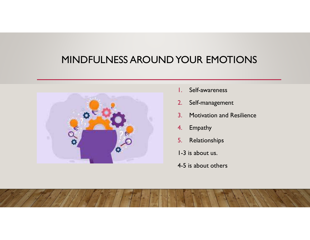### MINDFULNESS AROUND YOUR EMOTIONS



- 1.Self-awareness
- 2.Self-management
- 3. Motivation and Resilience
- 4.Empathy
- 5.Relationships
- 1-3 is about us.
- 4-5 is about others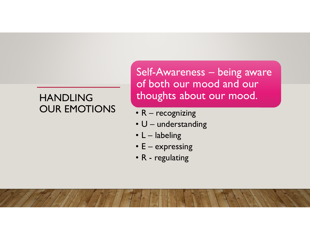Self-Awareness – being aware of both our mood and our thoughts about our mood.

- R recognizing
- U understanding<br>• I labeling
- L labeling<br>• E express
- E expressing<br>• R rogulating
- R regulating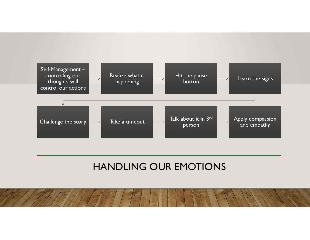

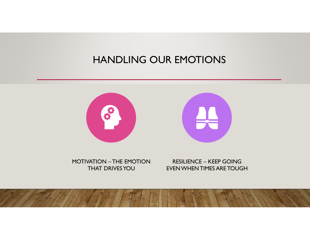

MOTIVATION – THE EMOTION THAT DRIVES YOU

RESILIENCE – KEEP GOING<br>EVEN WHEN TIMES ARE TOUGH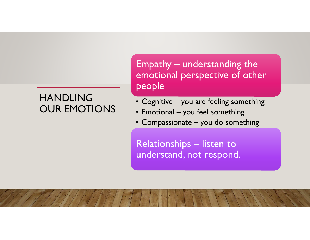Empathy – understanding the emotional perspective of other people

- Cognitive you are feeling something<br>• Emotional you feel something
- Emotional you feel something
- Compassionate you do something

Relationships – listen to understand, not respond.